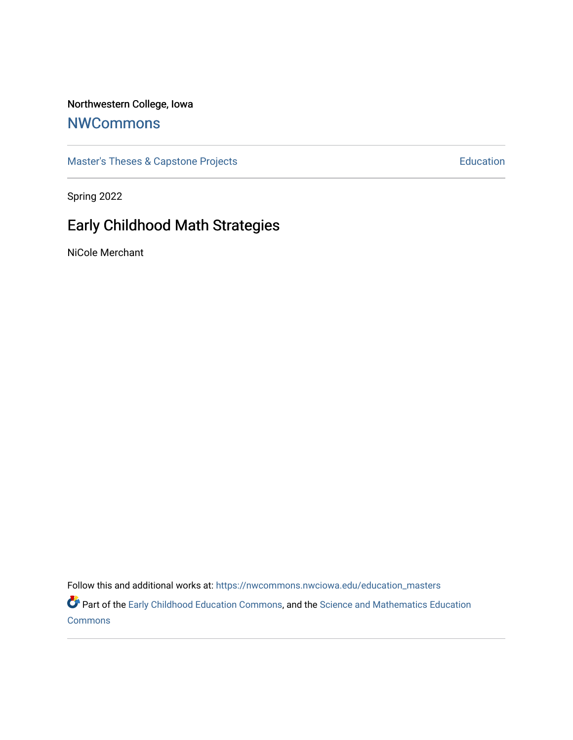## Northwestern College, Iowa

# **[NWCommons](https://nwcommons.nwciowa.edu/)**

[Master's Theses & Capstone Projects](https://nwcommons.nwciowa.edu/education_masters) **Education** Education

Spring 2022

# Early Childhood Math Strategies

NiCole Merchant

Follow this and additional works at: [https://nwcommons.nwciowa.edu/education\\_masters](https://nwcommons.nwciowa.edu/education_masters?utm_source=nwcommons.nwciowa.edu%2Feducation_masters%2F400&utm_medium=PDF&utm_campaign=PDFCoverPages)

Part of the [Early Childhood Education Commons,](https://network.bepress.com/hgg/discipline/1377?utm_source=nwcommons.nwciowa.edu%2Feducation_masters%2F400&utm_medium=PDF&utm_campaign=PDFCoverPages) and the [Science and Mathematics Education](https://network.bepress.com/hgg/discipline/800?utm_source=nwcommons.nwciowa.edu%2Feducation_masters%2F400&utm_medium=PDF&utm_campaign=PDFCoverPages)  [Commons](https://network.bepress.com/hgg/discipline/800?utm_source=nwcommons.nwciowa.edu%2Feducation_masters%2F400&utm_medium=PDF&utm_campaign=PDFCoverPages)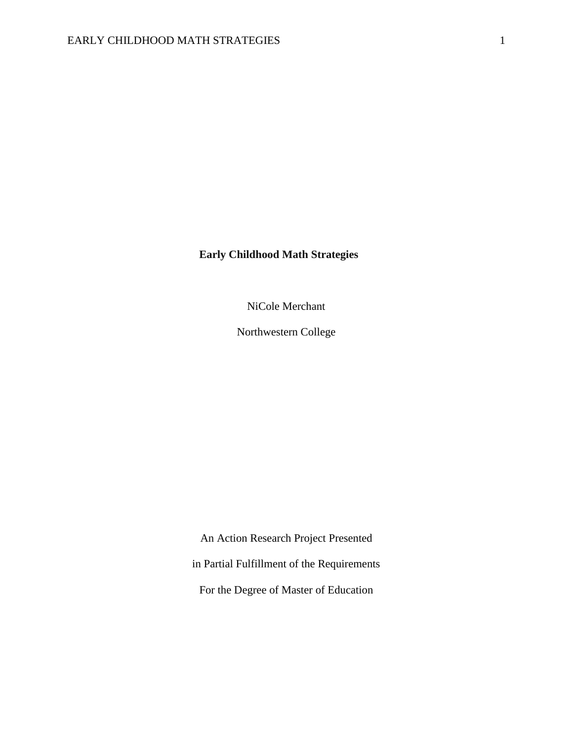### **Early Childhood Math Strategies**

NiCole Merchant

Northwestern College

An Action Research Project Presented in Partial Fulfillment of the Requirements For the Degree of Master of Education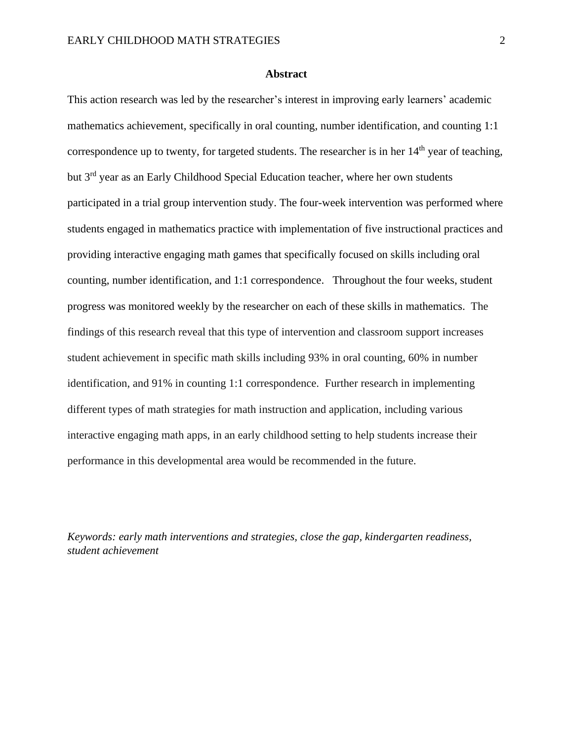#### **Abstract**

<span id="page-2-0"></span>This action research was led by the researcher's interest in improving early learners' academic mathematics achievement, specifically in oral counting, number identification, and counting 1:1 correspondence up to twenty, for targeted students. The researcher is in her  $14<sup>th</sup>$  year of teaching, but 3rd year as an Early Childhood Special Education teacher, where her own students participated in a trial group intervention study. The four-week intervention was performed where students engaged in mathematics practice with implementation of five instructional practices and providing interactive engaging math games that specifically focused on skills including oral counting, number identification, and 1:1 correspondence. Throughout the four weeks, student progress was monitored weekly by the researcher on each of these skills in mathematics. The findings of this research reveal that this type of intervention and classroom support increases student achievement in specific math skills including 93% in oral counting, 60% in number identification, and 91% in counting 1:1 correspondence. Further research in implementing different types of math strategies for math instruction and application, including various interactive engaging math apps, in an early childhood setting to help students increase their performance in this developmental area would be recommended in the future.

*Keywords: early math interventions and strategies, close the gap, kindergarten readiness, student achievement*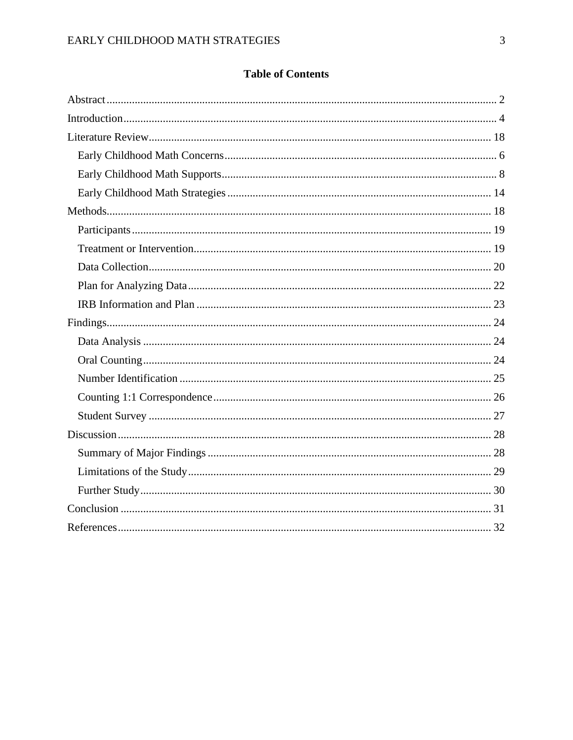# **Table of Contents**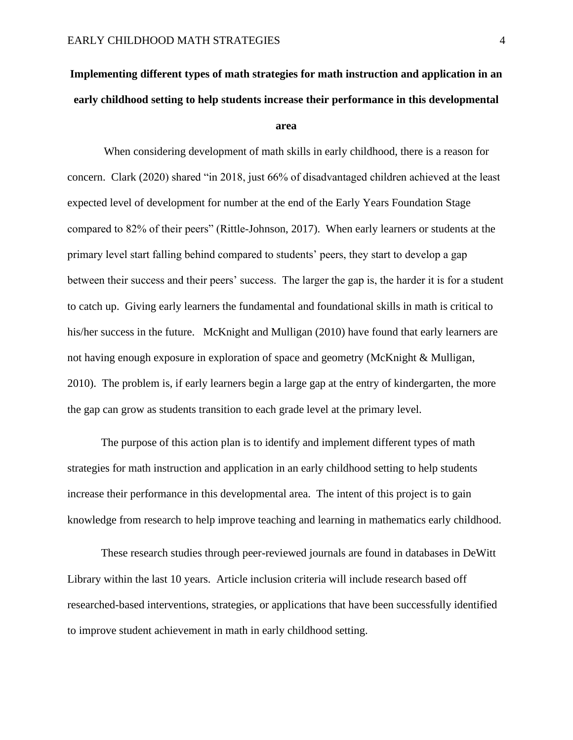# <span id="page-4-0"></span>**Implementing different types of math strategies for math instruction and application in an early childhood setting to help students increase their performance in this developmental**

#### **area**

When considering development of math skills in early childhood, there is a reason for concern. Clark (2020) shared "in 2018, just 66% of disadvantaged children achieved at the least expected level of development for number at the end of the Early Years Foundation Stage compared to 82% of their peers" (Rittle-Johnson, 2017). When early learners or students at the primary level start falling behind compared to students' peers, they start to develop a gap between their success and their peers' success. The larger the gap is, the harder it is for a student to catch up. Giving early learners the fundamental and foundational skills in math is critical to his/her success in the future. McKnight and Mulligan (2010) have found that early learners are not having enough exposure in exploration of space and geometry (McKnight & Mulligan, 2010). The problem is, if early learners begin a large gap at the entry of kindergarten, the more the gap can grow as students transition to each grade level at the primary level.

The purpose of this action plan is to identify and implement different types of math strategies for math instruction and application in an early childhood setting to help students increase their performance in this developmental area. The intent of this project is to gain knowledge from research to help improve teaching and learning in mathematics early childhood.

These research studies through peer-reviewed journals are found in databases in DeWitt Library within the last 10 years. Article inclusion criteria will include research based off researched-based interventions, strategies, or applications that have been successfully identified to improve student achievement in math in early childhood setting.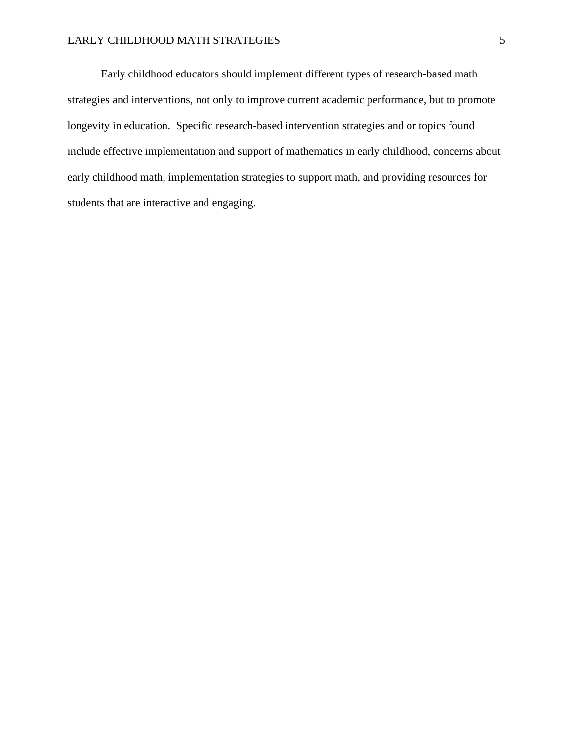#### EARLY CHILDHOOD MATH STRATEGIES 5

Early childhood educators should implement different types of research-based math strategies and interventions, not only to improve current academic performance, but to promote longevity in education. Specific research-based intervention strategies and or topics found include effective implementation and support of mathematics in early childhood, concerns about early childhood math, implementation strategies to support math, and providing resources for students that are interactive and engaging.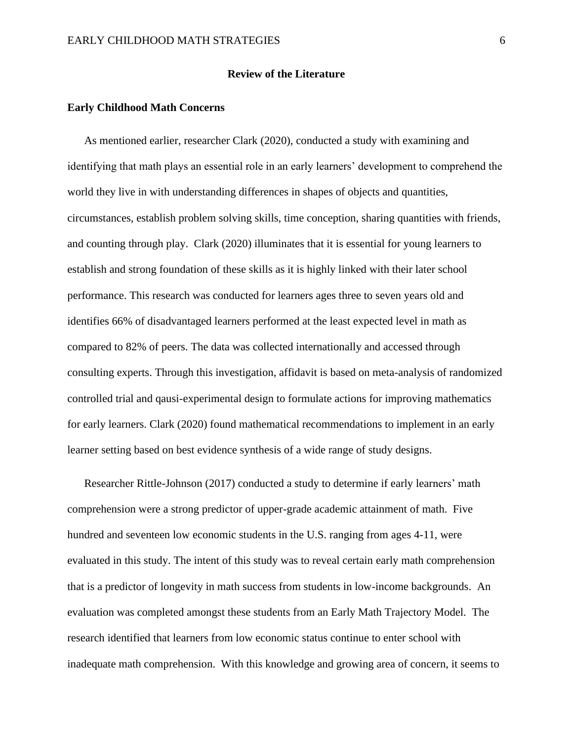#### **Review of the Literature**

#### **Early Childhood Math Concerns**

As mentioned earlier, researcher Clark (2020), conducted a study with examining and identifying that math plays an essential role in an early learners' development to comprehend the world they live in with understanding differences in shapes of objects and quantities, circumstances, establish problem solving skills, time conception, sharing quantities with friends, and counting through play. Clark (2020) illuminates that it is essential for young learners to establish and strong foundation of these skills as it is highly linked with their later school performance. This research was conducted for learners ages three to seven years old and identifies 66% of disadvantaged learners performed at the least expected level in math as compared to 82% of peers. The data was collected internationally and accessed through consulting experts. Through this investigation, affidavit is based on meta-analysis of randomized controlled trial and qausi-experimental design to formulate actions for improving mathematics for early learners. Clark (2020) found mathematical recommendations to implement in an early learner setting based on best evidence synthesis of a wide range of study designs.

Researcher Rittle-Johnson (2017) conducted a study to determine if early learners' math comprehension were a strong predictor of upper-grade academic attainment of math. Five hundred and seventeen low economic students in the U.S. ranging from ages 4-11, were evaluated in this study. The intent of this study was to reveal certain early math comprehension that is a predictor of longevity in math success from students in low-income backgrounds. An evaluation was completed amongst these students from an Early Math Trajectory Model. The research identified that learners from low economic status continue to enter school with inadequate math comprehension. With this knowledge and growing area of concern, it seems to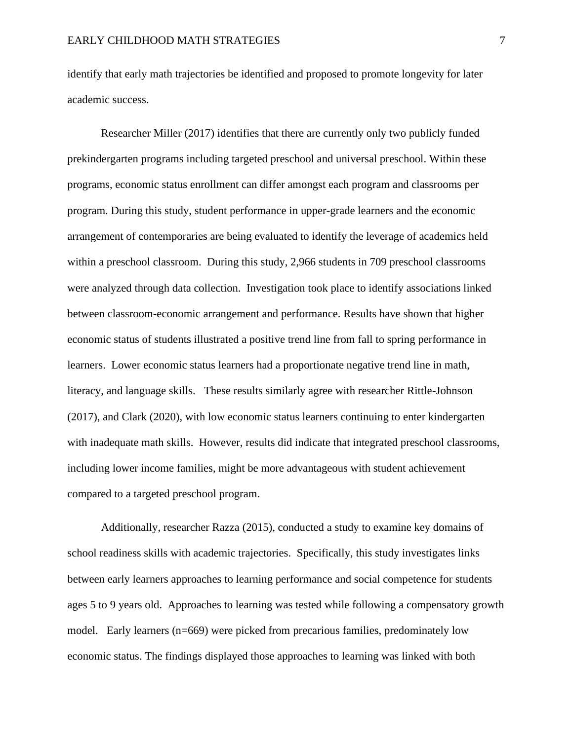identify that early math trajectories be identified and proposed to promote longevity for later academic success.

Researcher Miller (2017) identifies that there are currently only two publicly funded prekindergarten programs including targeted preschool and universal preschool. Within these programs, economic status enrollment can differ amongst each program and classrooms per program. During this study, student performance in upper-grade learners and the economic arrangement of contemporaries are being evaluated to identify the leverage of academics held within a preschool classroom. During this study, 2,966 students in 709 preschool classrooms were analyzed through data collection. Investigation took place to identify associations linked between classroom-economic arrangement and performance. Results have shown that higher economic status of students illustrated a positive trend line from fall to spring performance in learners. Lower economic status learners had a proportionate negative trend line in math, literacy, and language skills. These results similarly agree with researcher Rittle-Johnson (2017), and Clark (2020), with low economic status learners continuing to enter kindergarten with inadequate math skills. However, results did indicate that integrated preschool classrooms, including lower income families, might be more advantageous with student achievement compared to a targeted preschool program.

Additionally, researcher Razza (2015), conducted a study to examine key domains of school readiness skills with academic trajectories. Specifically, this study investigates links between early learners approaches to learning performance and social competence for students ages 5 to 9 years old. Approaches to learning was tested while following a compensatory growth model. Early learners (n=669) were picked from precarious families, predominately low economic status. The findings displayed those approaches to learning was linked with both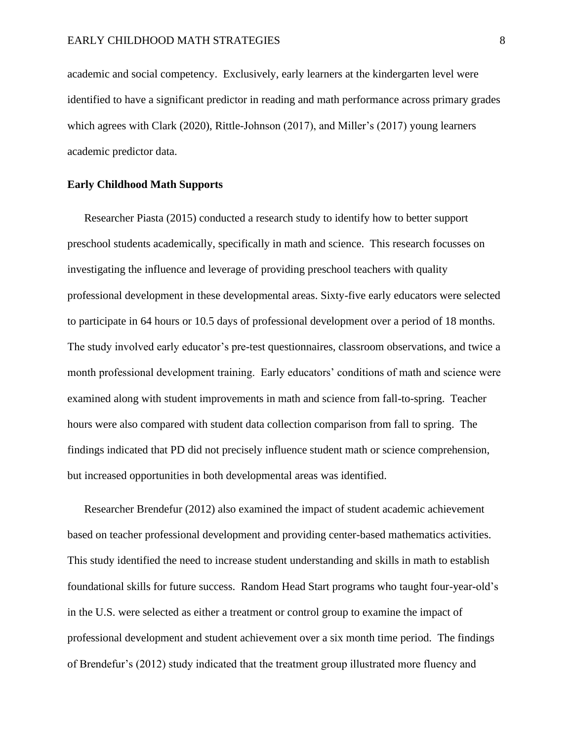academic and social competency. Exclusively, early learners at the kindergarten level were identified to have a significant predictor in reading and math performance across primary grades which agrees with Clark (2020), Rittle-Johnson (2017), and Miller's (2017) young learners academic predictor data.

#### **Early Childhood Math Supports**

Researcher Piasta (2015) conducted a research study to identify how to better support preschool students academically, specifically in math and science. This research focusses on investigating the influence and leverage of providing preschool teachers with quality professional development in these developmental areas. Sixty-five early educators were selected to participate in 64 hours or 10.5 days of professional development over a period of 18 months. The study involved early educator's pre-test questionnaires, classroom observations, and twice a month professional development training. Early educators' conditions of math and science were examined along with student improvements in math and science from fall-to-spring. Teacher hours were also compared with student data collection comparison from fall to spring. The findings indicated that PD did not precisely influence student math or science comprehension, but increased opportunities in both developmental areas was identified.

Researcher Brendefur (2012) also examined the impact of student academic achievement based on teacher professional development and providing center-based mathematics activities. This study identified the need to increase student understanding and skills in math to establish foundational skills for future success. Random Head Start programs who taught four-year-old's in the U.S. were selected as either a treatment or control group to examine the impact of professional development and student achievement over a six month time period. The findings of Brendefur's (2012) study indicated that the treatment group illustrated more fluency and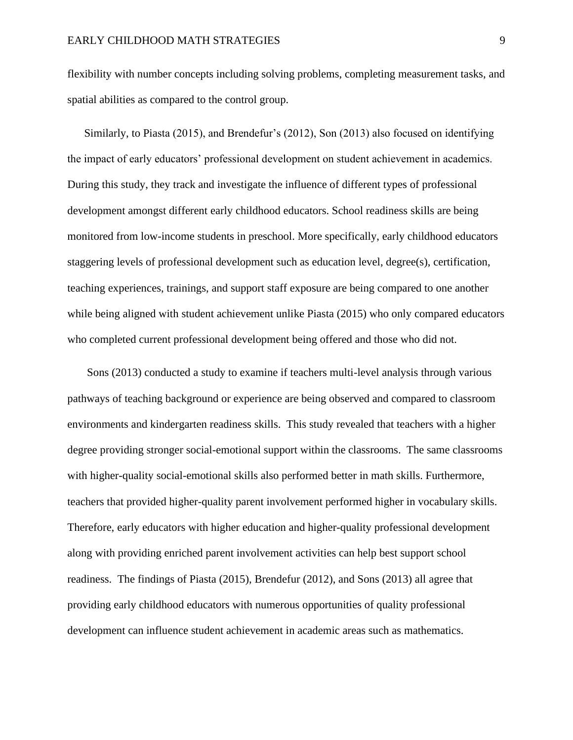flexibility with number concepts including solving problems, completing measurement tasks, and spatial abilities as compared to the control group.

Similarly, to Piasta (2015), and Brendefur's (2012), Son (2013) also focused on identifying the impact of early educators' professional development on student achievement in academics. During this study, they track and investigate the influence of different types of professional development amongst different early childhood educators. School readiness skills are being monitored from low-income students in preschool. More specifically, early childhood educators staggering levels of professional development such as education level, degree(s), certification, teaching experiences, trainings, and support staff exposure are being compared to one another while being aligned with student achievement unlike Piasta (2015) who only compared educators who completed current professional development being offered and those who did not.

Sons (2013) conducted a study to examine if teachers multi-level analysis through various pathways of teaching background or experience are being observed and compared to classroom environments and kindergarten readiness skills. This study revealed that teachers with a higher degree providing stronger social-emotional support within the classrooms. The same classrooms with higher-quality social-emotional skills also performed better in math skills. Furthermore, teachers that provided higher-quality parent involvement performed higher in vocabulary skills. Therefore, early educators with higher education and higher-quality professional development along with providing enriched parent involvement activities can help best support school readiness. The findings of Piasta (2015), Brendefur (2012), and Sons (2013) all agree that providing early childhood educators with numerous opportunities of quality professional development can influence student achievement in academic areas such as mathematics.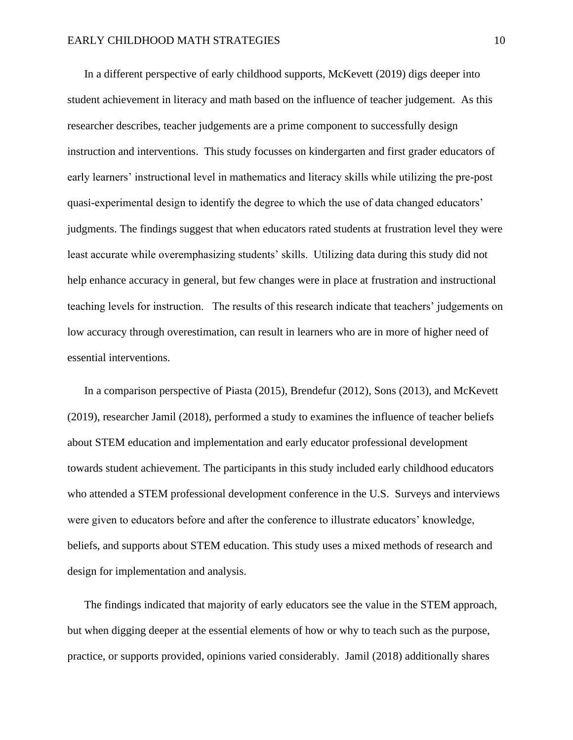In a different perspective of early childhood supports, McKevett (2019) digs deeper into student achievement in literacy and math based on the influence of teacher judgement. As this researcher describes, teacher judgements are a prime component to successfully design instruction and interventions. This study focusses on kindergarten and first grader educators of early learners' instructional level in mathematics and literacy skills while utilizing the pre-post quasi-experimental design to identify the degree to which the use of data changed educators' judgments. The findings suggest that when educators rated students at frustration level they were least accurate while overemphasizing students' skills. Utilizing data during this study did not help enhance accuracy in general, but few changes were in place at frustration and instructional teaching levels for instruction. The results of this research indicate that teachers' judgements on low accuracy through overestimation, can result in learners who are in more of higher need of essential interventions.

In a comparison perspective of Piasta (2015), Brendefur (2012), Sons (2013), and McKevett (2019), researcher Jamil (2018), performed a study to examines the influence of teacher beliefs about STEM education and implementation and early educator professional development towards student achievement. The participants in this study included early childhood educators who attended a STEM professional development conference in the U.S. Surveys and interviews were given to educators before and after the conference to illustrate educators' knowledge, beliefs, and supports about STEM education. This study uses a mixed methods of research and design for implementation and analysis.

The findings indicated that majority of early educators see the value in the STEM approach, but when digging deeper at the essential elements of how or why to teach such as the purpose, practice, or supports provided, opinions varied considerably. Jamil (2018) additionally shares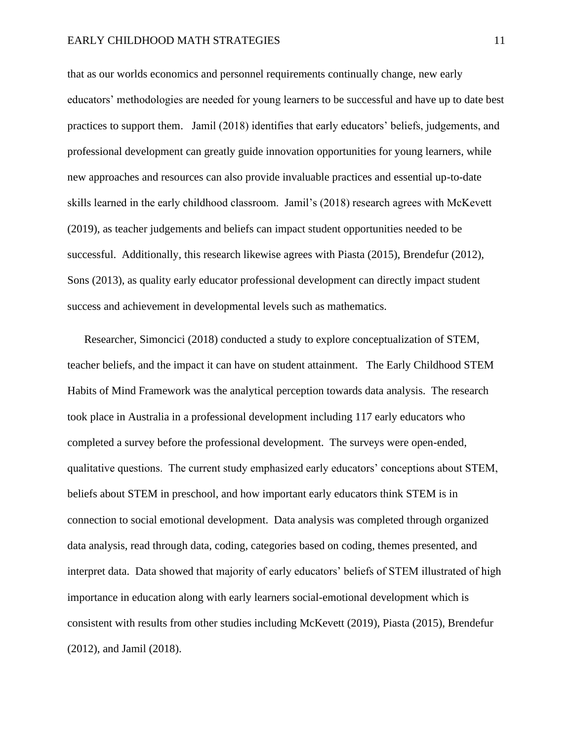#### EARLY CHILDHOOD MATH STRATEGIES 11

that as our worlds economics and personnel requirements continually change, new early educators' methodologies are needed for young learners to be successful and have up to date best practices to support them. Jamil (2018) identifies that early educators' beliefs, judgements, and professional development can greatly guide innovation opportunities for young learners, while new approaches and resources can also provide invaluable practices and essential up-to-date skills learned in the early childhood classroom. Jamil's (2018) research agrees with McKevett (2019), as teacher judgements and beliefs can impact student opportunities needed to be successful. Additionally, this research likewise agrees with Piasta (2015), Brendefur (2012), Sons (2013), as quality early educator professional development can directly impact student success and achievement in developmental levels such as mathematics.

Researcher, Simoncici (2018) conducted a study to explore conceptualization of STEM, teacher beliefs, and the impact it can have on student attainment. The Early Childhood STEM Habits of Mind Framework was the analytical perception towards data analysis. The research took place in Australia in a professional development including 117 early educators who completed a survey before the professional development. The surveys were open-ended, qualitative questions. The current study emphasized early educators' conceptions about STEM, beliefs about STEM in preschool, and how important early educators think STEM is in connection to social emotional development. Data analysis was completed through organized data analysis, read through data, coding, categories based on coding, themes presented, and interpret data. Data showed that majority of early educators' beliefs of STEM illustrated of high importance in education along with early learners social-emotional development which is consistent with results from other studies including McKevett (2019), Piasta (2015), Brendefur (2012), and Jamil (2018).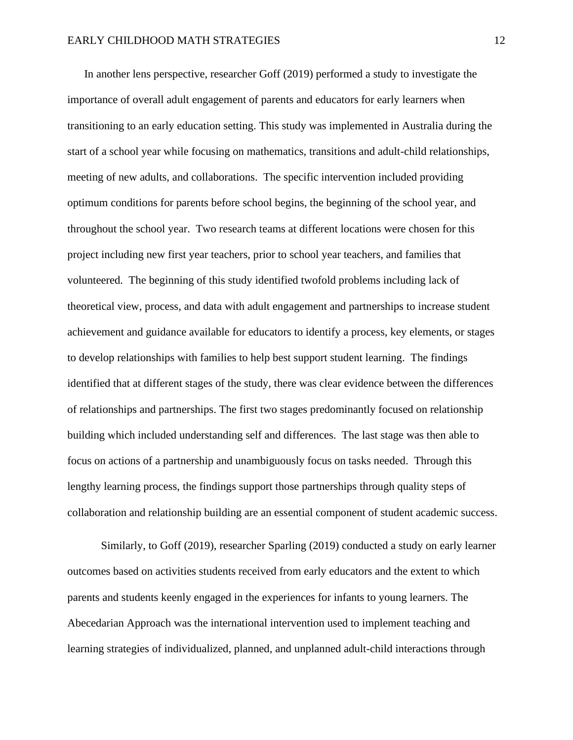In another lens perspective, researcher Goff (2019) performed a study to investigate the importance of overall adult engagement of parents and educators for early learners when transitioning to an early education setting. This study was implemented in Australia during the start of a school year while focusing on mathematics, transitions and adult-child relationships, meeting of new adults, and collaborations. The specific intervention included providing optimum conditions for parents before school begins, the beginning of the school year, and throughout the school year. Two research teams at different locations were chosen for this project including new first year teachers, prior to school year teachers, and families that volunteered. The beginning of this study identified twofold problems including lack of theoretical view, process, and data with adult engagement and partnerships to increase student achievement and guidance available for educators to identify a process, key elements, or stages to develop relationships with families to help best support student learning. The findings identified that at different stages of the study, there was clear evidence between the differences of relationships and partnerships. The first two stages predominantly focused on relationship building which included understanding self and differences. The last stage was then able to focus on actions of a partnership and unambiguously focus on tasks needed. Through this lengthy learning process, the findings support those partnerships through quality steps of collaboration and relationship building are an essential component of student academic success.

Similarly, to Goff (2019), researcher Sparling (2019) conducted a study on early learner outcomes based on activities students received from early educators and the extent to which parents and students keenly engaged in the experiences for infants to young learners. The Abecedarian Approach was the international intervention used to implement teaching and learning strategies of individualized, planned, and unplanned adult-child interactions through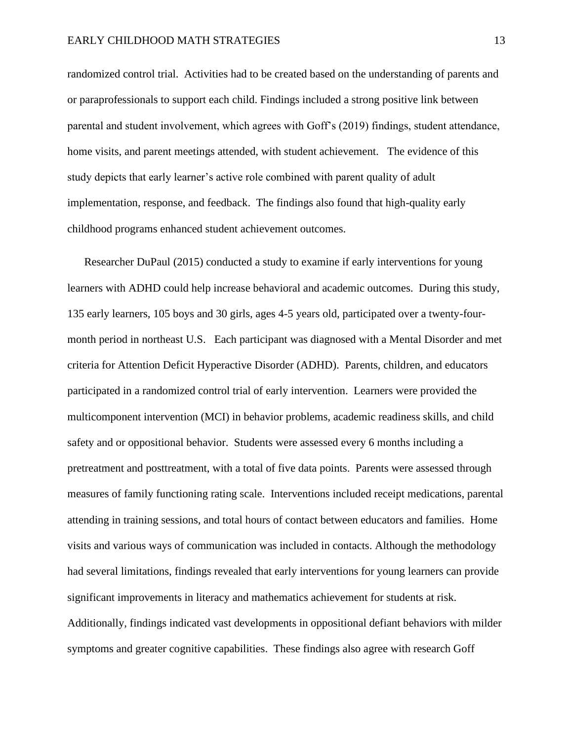#### EARLY CHILDHOOD MATH STRATEGIES 13

randomized control trial. Activities had to be created based on the understanding of parents and or paraprofessionals to support each child. Findings included a strong positive link between parental and student involvement, which agrees with Goff's (2019) findings, student attendance, home visits, and parent meetings attended, with student achievement. The evidence of this study depicts that early learner's active role combined with parent quality of adult implementation, response, and feedback. The findings also found that high-quality early childhood programs enhanced student achievement outcomes.

Researcher DuPaul (2015) conducted a study to examine if early interventions for young learners with ADHD could help increase behavioral and academic outcomes. During this study, 135 early learners, 105 boys and 30 girls, ages 4-5 years old, participated over a twenty-fourmonth period in northeast U.S. Each participant was diagnosed with a Mental Disorder and met criteria for Attention Deficit Hyperactive Disorder (ADHD). Parents, children, and educators participated in a randomized control trial of early intervention. Learners were provided the multicomponent intervention (MCI) in behavior problems, academic readiness skills, and child safety and or oppositional behavior. Students were assessed every 6 months including a pretreatment and posttreatment, with a total of five data points. Parents were assessed through measures of family functioning rating scale. Interventions included receipt medications, parental attending in training sessions, and total hours of contact between educators and families. Home visits and various ways of communication was included in contacts. Although the methodology had several limitations, findings revealed that early interventions for young learners can provide significant improvements in literacy and mathematics achievement for students at risk. Additionally, findings indicated vast developments in oppositional defiant behaviors with milder symptoms and greater cognitive capabilities. These findings also agree with research Goff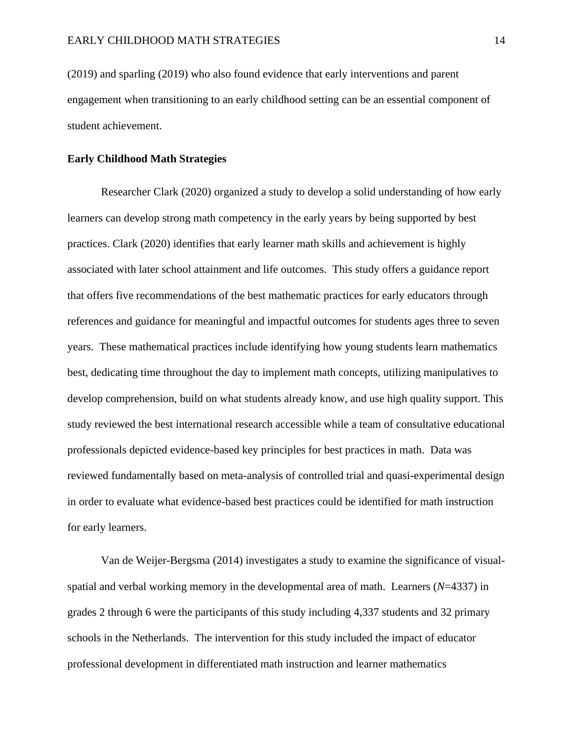(2019) and sparling (2019) who also found evidence that early interventions and parent engagement when transitioning to an early childhood setting can be an essential component of student achievement.

#### **Early Childhood Math Strategies**

Researcher Clark (2020) organized a study to develop a solid understanding of how early learners can develop strong math competency in the early years by being supported by best practices. Clark (2020) identifies that early learner math skills and achievement is highly associated with later school attainment and life outcomes. This study offers a guidance report that offers five recommendations of the best mathematic practices for early educators through references and guidance for meaningful and impactful outcomes for students ages three to seven years. These mathematical practices include identifying how young students learn mathematics best, dedicating time throughout the day to implement math concepts, utilizing manipulatives to develop comprehension, build on what students already know, and use high quality support. This study reviewed the best international research accessible while a team of consultative educational professionals depicted evidence-based key principles for best practices in math. Data was reviewed fundamentally based on meta-analysis of controlled trial and quasi-experimental design in order to evaluate what evidence-based best practices could be identified for math instruction for early learners.

Van de Weijer-Bergsma (2014) investigates a study to examine the significance of visualspatial and verbal working memory in the developmental area of math. Learners (*N*=4337) in grades 2 through 6 were the participants of this study including 4,337 students and 32 primary schools in the Netherlands. The intervention for this study included the impact of educator professional development in differentiated math instruction and learner mathematics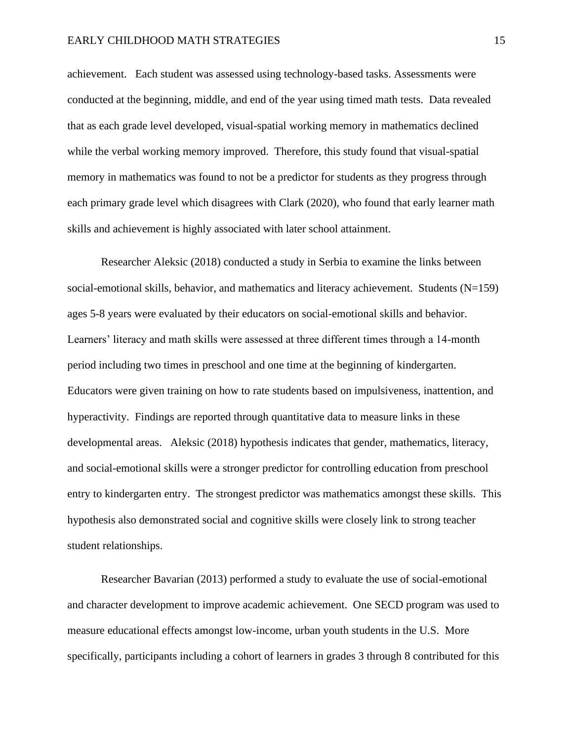#### EARLY CHILDHOOD MATH STRATEGIES 15

achievement. Each student was assessed using technology-based tasks. Assessments were conducted at the beginning, middle, and end of the year using timed math tests. Data revealed that as each grade level developed, visual-spatial working memory in mathematics declined while the verbal working memory improved. Therefore, this study found that visual-spatial memory in mathematics was found to not be a predictor for students as they progress through each primary grade level which disagrees with Clark (2020), who found that early learner math skills and achievement is highly associated with later school attainment.

Researcher Aleksic (2018) conducted a study in Serbia to examine the links between social-emotional skills, behavior, and mathematics and literacy achievement. Students (N=159) ages 5-8 years were evaluated by their educators on social-emotional skills and behavior. Learners' literacy and math skills were assessed at three different times through a 14-month period including two times in preschool and one time at the beginning of kindergarten. Educators were given training on how to rate students based on impulsiveness, inattention, and hyperactivity. Findings are reported through quantitative data to measure links in these developmental areas. Aleksic (2018) hypothesis indicates that gender, mathematics, literacy, and social-emotional skills were a stronger predictor for controlling education from preschool entry to kindergarten entry. The strongest predictor was mathematics amongst these skills. This hypothesis also demonstrated social and cognitive skills were closely link to strong teacher student relationships.

Researcher Bavarian (2013) performed a study to evaluate the use of social-emotional and character development to improve academic achievement. One SECD program was used to measure educational effects amongst low-income, urban youth students in the U.S. More specifically, participants including a cohort of learners in grades 3 through 8 contributed for this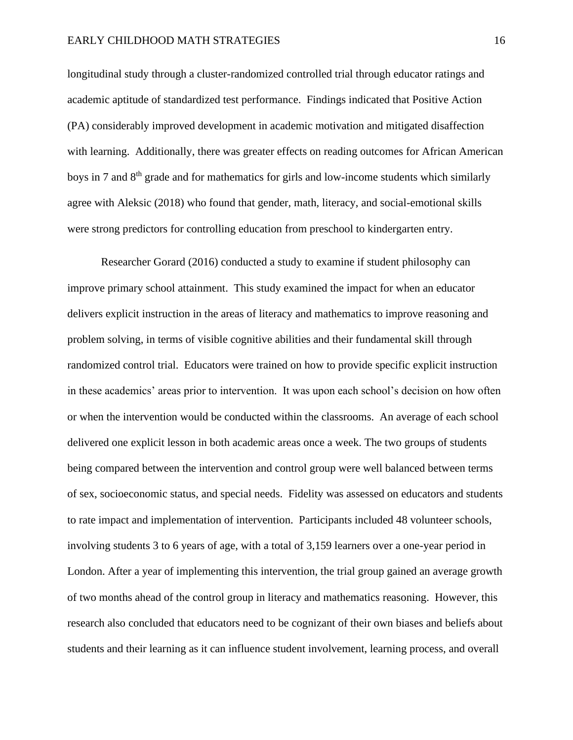#### EARLY CHILDHOOD MATH STRATEGIES 16

longitudinal study through a cluster-randomized controlled trial through educator ratings and academic aptitude of standardized test performance. Findings indicated that Positive Action (PA) considerably improved development in academic motivation and mitigated disaffection with learning. Additionally, there was greater effects on reading outcomes for African American boys in 7 and 8<sup>th</sup> grade and for mathematics for girls and low-income students which similarly agree with Aleksic (2018) who found that gender, math, literacy, and social-emotional skills were strong predictors for controlling education from preschool to kindergarten entry.

Researcher Gorard (2016) conducted a study to examine if student philosophy can improve primary school attainment. This study examined the impact for when an educator delivers explicit instruction in the areas of literacy and mathematics to improve reasoning and problem solving, in terms of visible cognitive abilities and their fundamental skill through randomized control trial. Educators were trained on how to provide specific explicit instruction in these academics' areas prior to intervention. It was upon each school's decision on how often or when the intervention would be conducted within the classrooms. An average of each school delivered one explicit lesson in both academic areas once a week. The two groups of students being compared between the intervention and control group were well balanced between terms of sex, socioeconomic status, and special needs. Fidelity was assessed on educators and students to rate impact and implementation of intervention. Participants included 48 volunteer schools, involving students 3 to 6 years of age, with a total of 3,159 learners over a one-year period in London. After a year of implementing this intervention, the trial group gained an average growth of two months ahead of the control group in literacy and mathematics reasoning. However, this research also concluded that educators need to be cognizant of their own biases and beliefs about students and their learning as it can influence student involvement, learning process, and overall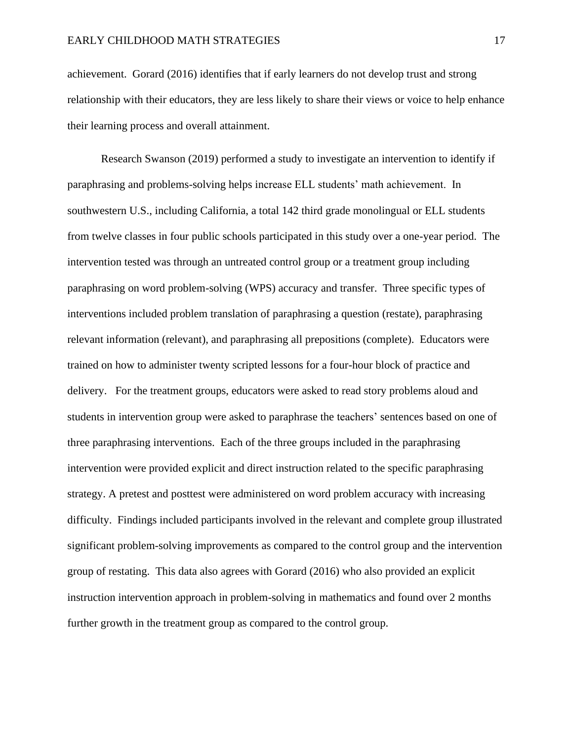achievement. Gorard (2016) identifies that if early learners do not develop trust and strong relationship with their educators, they are less likely to share their views or voice to help enhance their learning process and overall attainment.

Research Swanson (2019) performed a study to investigate an intervention to identify if paraphrasing and problems-solving helps increase ELL students' math achievement. In southwestern U.S., including California, a total 142 third grade monolingual or ELL students from twelve classes in four public schools participated in this study over a one-year period. The intervention tested was through an untreated control group or a treatment group including paraphrasing on word problem-solving (WPS) accuracy and transfer. Three specific types of interventions included problem translation of paraphrasing a question (restate), paraphrasing relevant information (relevant), and paraphrasing all prepositions (complete). Educators were trained on how to administer twenty scripted lessons for a four-hour block of practice and delivery. For the treatment groups, educators were asked to read story problems aloud and students in intervention group were asked to paraphrase the teachers' sentences based on one of three paraphrasing interventions. Each of the three groups included in the paraphrasing intervention were provided explicit and direct instruction related to the specific paraphrasing strategy. A pretest and posttest were administered on word problem accuracy with increasing difficulty. Findings included participants involved in the relevant and complete group illustrated significant problem-solving improvements as compared to the control group and the intervention group of restating. This data also agrees with Gorard (2016) who also provided an explicit instruction intervention approach in problem-solving in mathematics and found over 2 months further growth in the treatment group as compared to the control group.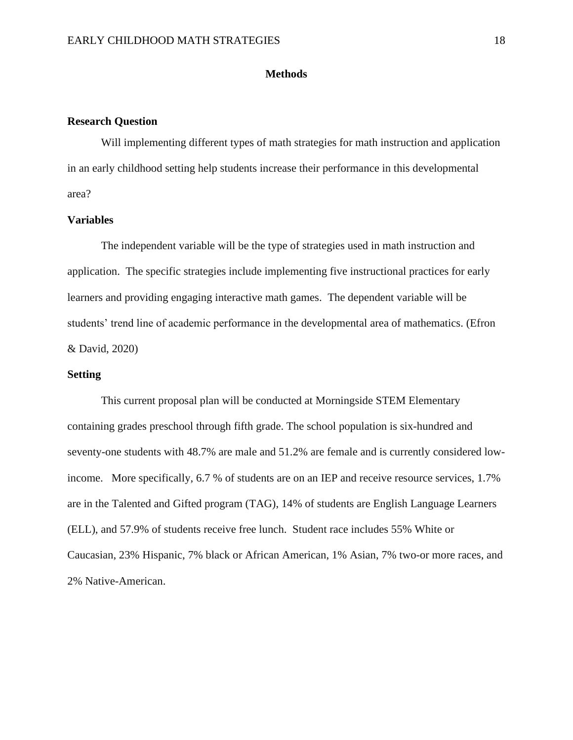#### **Methods**

#### <span id="page-18-0"></span>**Research Question**

Will implementing different types of math strategies for math instruction and application in an early childhood setting help students increase their performance in this developmental area?

#### **Variables**

The independent variable will be the type of strategies used in math instruction and application. The specific strategies include implementing five instructional practices for early learners and providing engaging interactive math games. The dependent variable will be students' trend line of academic performance in the developmental area of mathematics. (Efron & David, 2020)

#### **Setting**

This current proposal plan will be conducted at Morningside STEM Elementary containing grades preschool through fifth grade. The school population is six-hundred and seventy-one students with 48.7% are male and 51.2% are female and is currently considered lowincome. More specifically, 6.7 % of students are on an IEP and receive resource services, 1.7% are in the Talented and Gifted program (TAG), 14% of students are English Language Learners (ELL), and 57.9% of students receive free lunch. Student race includes 55% White or Caucasian, 23% Hispanic, 7% black or African American, 1% Asian, 7% two-or more races, and 2% Native-American.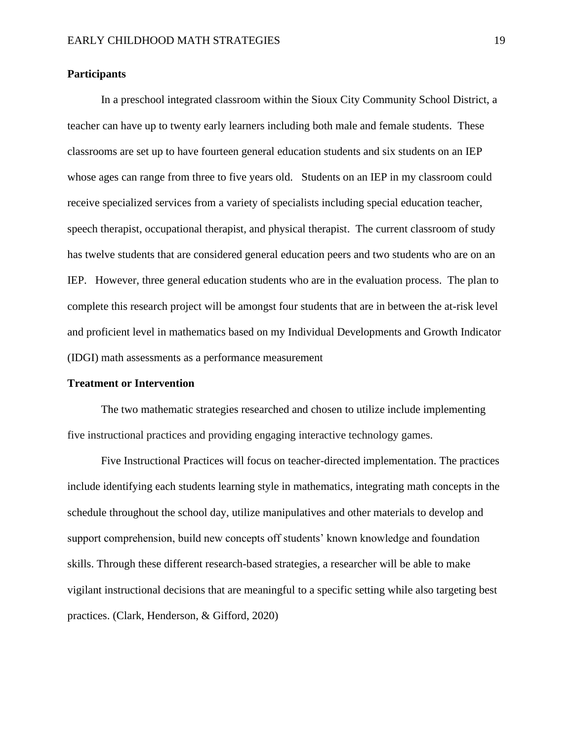#### **Participants**

In a preschool integrated classroom within the Sioux City Community School District, a teacher can have up to twenty early learners including both male and female students. These classrooms are set up to have fourteen general education students and six students on an IEP whose ages can range from three to five years old. Students on an IEP in my classroom could receive specialized services from a variety of specialists including special education teacher, speech therapist, occupational therapist, and physical therapist. The current classroom of study has twelve students that are considered general education peers and two students who are on an IEP. However, three general education students who are in the evaluation process. The plan to complete this research project will be amongst four students that are in between the at-risk level and proficient level in mathematics based on my Individual Developments and Growth Indicator (IDGI) math assessments as a performance measurement

#### **Treatment or Intervention**

The two mathematic strategies researched and chosen to utilize include implementing five instructional practices and providing engaging interactive technology games.

Five Instructional Practices will focus on teacher-directed implementation. The practices include identifying each students learning style in mathematics, integrating math concepts in the schedule throughout the school day, utilize manipulatives and other materials to develop and support comprehension, build new concepts off students' known knowledge and foundation skills. Through these different research-based strategies, a researcher will be able to make vigilant instructional decisions that are meaningful to a specific setting while also targeting best practices. (Clark, Henderson, & Gifford, 2020)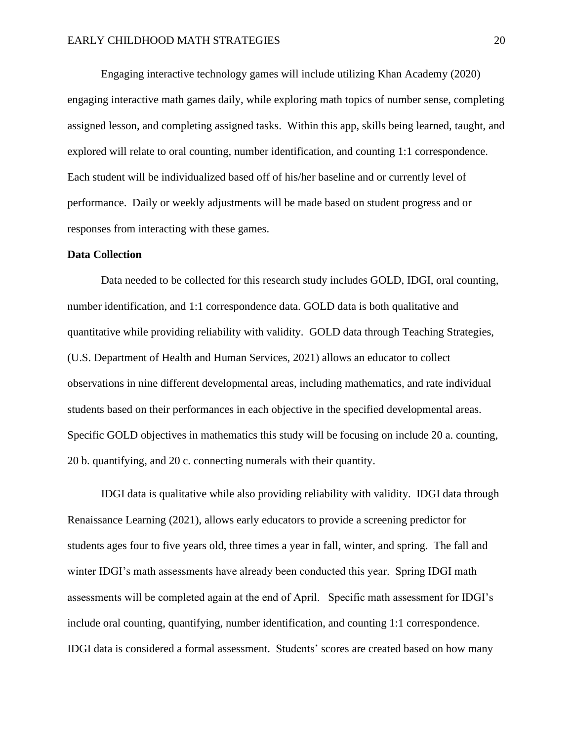Engaging interactive technology games will include utilizing Khan Academy (2020) engaging interactive math games daily, while exploring math topics of number sense, completing assigned lesson, and completing assigned tasks. Within this app, skills being learned, taught, and explored will relate to oral counting, number identification, and counting 1:1 correspondence. Each student will be individualized based off of his/her baseline and or currently level of performance. Daily or weekly adjustments will be made based on student progress and or responses from interacting with these games.

#### **Data Collection**

Data needed to be collected for this research study includes GOLD, IDGI, oral counting, number identification, and 1:1 correspondence data. GOLD data is both qualitative and quantitative while providing reliability with validity. GOLD data through Teaching Strategies, (U.S. Department of Health and Human Services, 2021) allows an educator to collect observations in nine different developmental areas, including mathematics, and rate individual students based on their performances in each objective in the specified developmental areas. Specific GOLD objectives in mathematics this study will be focusing on include 20 a. counting, 20 b. quantifying, and 20 c. connecting numerals with their quantity.

IDGI data is qualitative while also providing reliability with validity. IDGI data through Renaissance Learning (2021), allows early educators to provide a screening predictor for students ages four to five years old, three times a year in fall, winter, and spring. The fall and winter IDGI's math assessments have already been conducted this year. Spring IDGI math assessments will be completed again at the end of April. Specific math assessment for IDGI's include oral counting, quantifying, number identification, and counting 1:1 correspondence. IDGI data is considered a formal assessment. Students' scores are created based on how many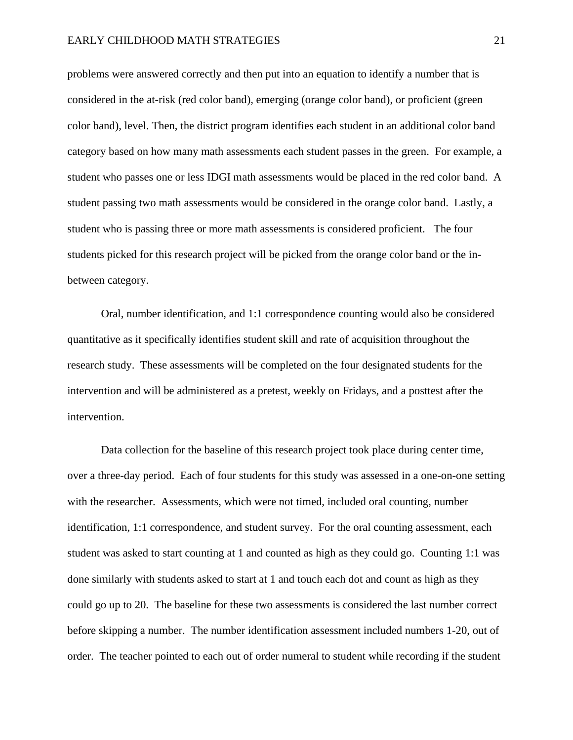#### EARLY CHILDHOOD MATH STRATEGIES 21

problems were answered correctly and then put into an equation to identify a number that is considered in the at-risk (red color band), emerging (orange color band), or proficient (green color band), level. Then, the district program identifies each student in an additional color band category based on how many math assessments each student passes in the green. For example, a student who passes one or less IDGI math assessments would be placed in the red color band. A student passing two math assessments would be considered in the orange color band. Lastly, a student who is passing three or more math assessments is considered proficient. The four students picked for this research project will be picked from the orange color band or the inbetween category.

Oral, number identification, and 1:1 correspondence counting would also be considered quantitative as it specifically identifies student skill and rate of acquisition throughout the research study. These assessments will be completed on the four designated students for the intervention and will be administered as a pretest, weekly on Fridays, and a posttest after the intervention.

Data collection for the baseline of this research project took place during center time, over a three-day period. Each of four students for this study was assessed in a one-on-one setting with the researcher. Assessments, which were not timed, included oral counting, number identification, 1:1 correspondence, and student survey. For the oral counting assessment, each student was asked to start counting at 1 and counted as high as they could go. Counting 1:1 was done similarly with students asked to start at 1 and touch each dot and count as high as they could go up to 20. The baseline for these two assessments is considered the last number correct before skipping a number. The number identification assessment included numbers 1-20, out of order. The teacher pointed to each out of order numeral to student while recording if the student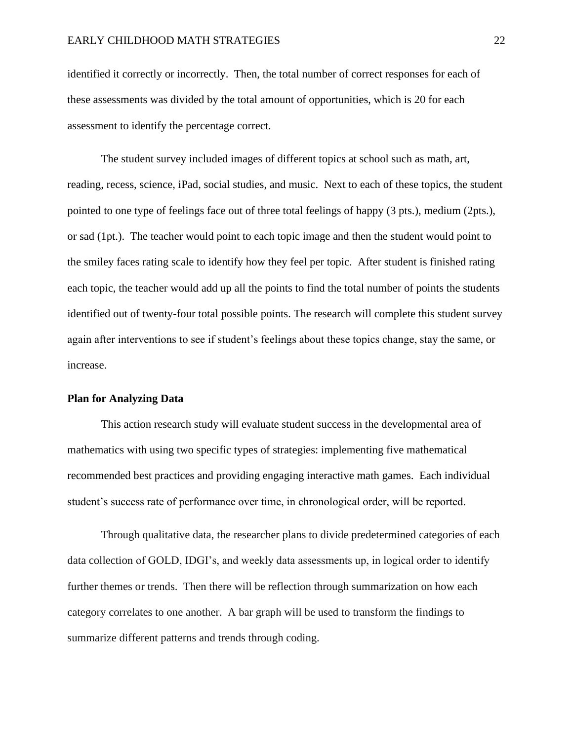identified it correctly or incorrectly. Then, the total number of correct responses for each of these assessments was divided by the total amount of opportunities, which is 20 for each assessment to identify the percentage correct.

The student survey included images of different topics at school such as math, art, reading, recess, science, iPad, social studies, and music. Next to each of these topics, the student pointed to one type of feelings face out of three total feelings of happy (3 pts.), medium (2pts.), or sad (1pt.). The teacher would point to each topic image and then the student would point to the smiley faces rating scale to identify how they feel per topic. After student is finished rating each topic, the teacher would add up all the points to find the total number of points the students identified out of twenty-four total possible points. The research will complete this student survey again after interventions to see if student's feelings about these topics change, stay the same, or increase.

#### **Plan for Analyzing Data**

This action research study will evaluate student success in the developmental area of mathematics with using two specific types of strategies: implementing five mathematical recommended best practices and providing engaging interactive math games. Each individual student's success rate of performance over time, in chronological order, will be reported.

Through qualitative data, the researcher plans to divide predetermined categories of each data collection of GOLD, IDGI's, and weekly data assessments up, in logical order to identify further themes or trends. Then there will be reflection through summarization on how each category correlates to one another. A bar graph will be used to transform the findings to summarize different patterns and trends through coding.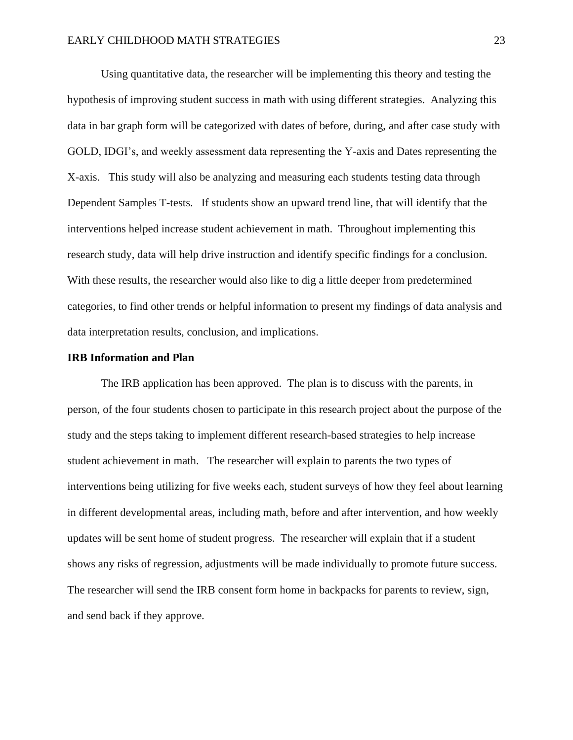Using quantitative data, the researcher will be implementing this theory and testing the hypothesis of improving student success in math with using different strategies. Analyzing this data in bar graph form will be categorized with dates of before, during, and after case study with GOLD, IDGI's, and weekly assessment data representing the Y-axis and Dates representing the X-axis. This study will also be analyzing and measuring each students testing data through Dependent Samples T-tests. If students show an upward trend line, that will identify that the interventions helped increase student achievement in math. Throughout implementing this research study, data will help drive instruction and identify specific findings for a conclusion. With these results, the researcher would also like to dig a little deeper from predetermined categories, to find other trends or helpful information to present my findings of data analysis and data interpretation results, conclusion, and implications.

#### **IRB Information and Plan**

The IRB application has been approved. The plan is to discuss with the parents, in person, of the four students chosen to participate in this research project about the purpose of the study and the steps taking to implement different research-based strategies to help increase student achievement in math. The researcher will explain to parents the two types of interventions being utilizing for five weeks each, student surveys of how they feel about learning in different developmental areas, including math, before and after intervention, and how weekly updates will be sent home of student progress. The researcher will explain that if a student shows any risks of regression, adjustments will be made individually to promote future success. The researcher will send the IRB consent form home in backpacks for parents to review, sign, and send back if they approve.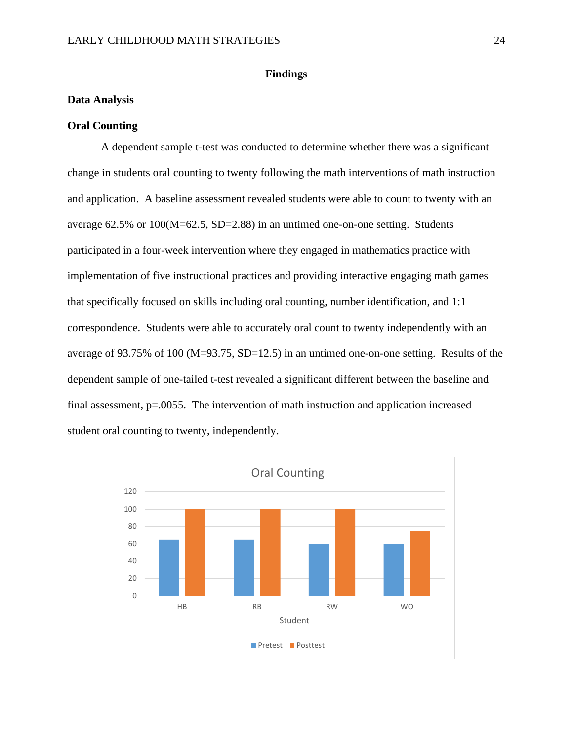#### **Findings**

#### <span id="page-24-1"></span><span id="page-24-0"></span>**Data Analysis**

#### **Oral Counting**

A dependent sample t-test was conducted to determine whether there was a significant change in students oral counting to twenty following the math interventions of math instruction and application. A baseline assessment revealed students were able to count to twenty with an average 62.5% or 100(M=62.5, SD=2.88) in an untimed one-on-one setting. Students participated in a four-week intervention where they engaged in mathematics practice with implementation of five instructional practices and providing interactive engaging math games that specifically focused on skills including oral counting, number identification, and 1:1 correspondence. Students were able to accurately oral count to twenty independently with an average of 93.75% of 100 (M=93.75, SD=12.5) in an untimed one-on-one setting. Results of the dependent sample of one-tailed t-test revealed a significant different between the baseline and final assessment, p=.0055. The intervention of math instruction and application increased student oral counting to twenty, independently.

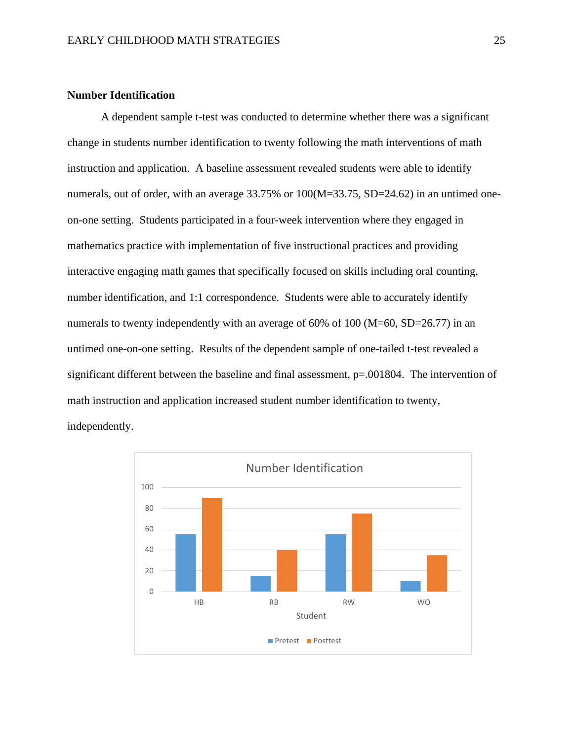#### **Number Identification**

A dependent sample t-test was conducted to determine whether there was a significant change in students number identification to twenty following the math interventions of math instruction and application. A baseline assessment revealed students were able to identify numerals, out of order, with an average 33.75% or  $100(M=33.75, SD=24.62)$  in an untimed oneon-one setting. Students participated in a four-week intervention where they engaged in mathematics practice with implementation of five instructional practices and providing interactive engaging math games that specifically focused on skills including oral counting, number identification, and 1:1 correspondence. Students were able to accurately identify numerals to twenty independently with an average of 60% of 100 (M=60, SD=26.77) in an untimed one-on-one setting. Results of the dependent sample of one-tailed t-test revealed a significant different between the baseline and final assessment, p=.001804. The intervention of math instruction and application increased student number identification to twenty, independently.

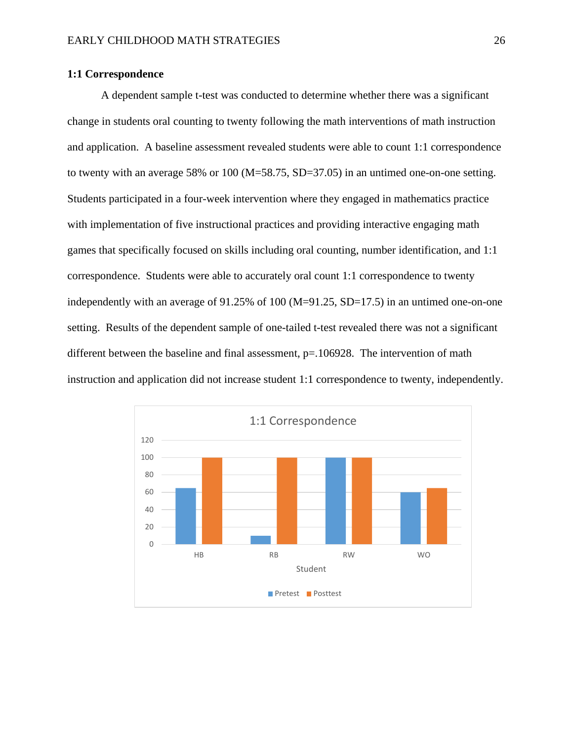#### **1:1 Correspondence**

A dependent sample t-test was conducted to determine whether there was a significant change in students oral counting to twenty following the math interventions of math instruction and application. A baseline assessment revealed students were able to count 1:1 correspondence to twenty with an average 58% or 100 (M=58.75, SD=37.05) in an untimed one-on-one setting. Students participated in a four-week intervention where they engaged in mathematics practice with implementation of five instructional practices and providing interactive engaging math games that specifically focused on skills including oral counting, number identification, and 1:1 correspondence. Students were able to accurately oral count 1:1 correspondence to twenty independently with an average of 91.25% of 100 (M=91.25, SD=17.5) in an untimed one-on-one setting. Results of the dependent sample of one-tailed t-test revealed there was not a significant different between the baseline and final assessment,  $p=106928$ . The intervention of math instruction and application did not increase student 1:1 correspondence to twenty, independently.

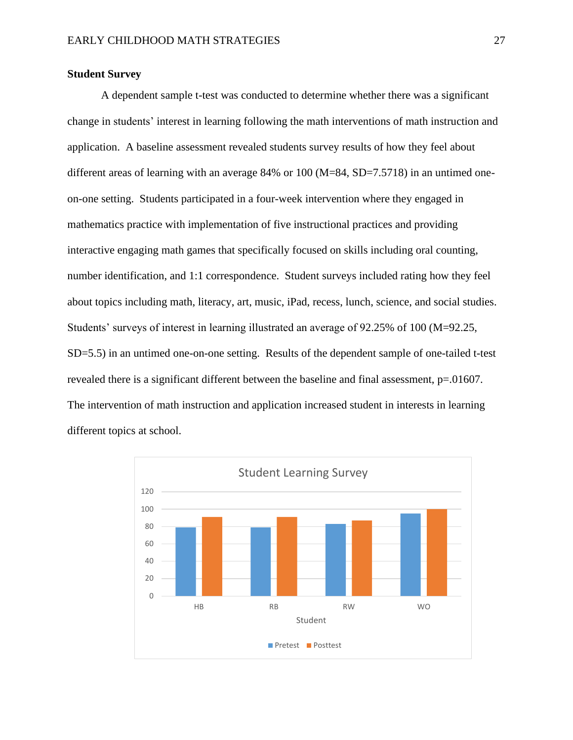#### **Student Survey**

A dependent sample t-test was conducted to determine whether there was a significant change in students' interest in learning following the math interventions of math instruction and application. A baseline assessment revealed students survey results of how they feel about different areas of learning with an average  $84\%$  or 100 (M=84, SD=7.5718) in an untimed oneon-one setting. Students participated in a four-week intervention where they engaged in mathematics practice with implementation of five instructional practices and providing interactive engaging math games that specifically focused on skills including oral counting, number identification, and 1:1 correspondence. Student surveys included rating how they feel about topics including math, literacy, art, music, iPad, recess, lunch, science, and social studies. Students' surveys of interest in learning illustrated an average of 92.25% of 100 (M=92.25, SD=5.5) in an untimed one-on-one setting. Results of the dependent sample of one-tailed t-test revealed there is a significant different between the baseline and final assessment,  $p=0.01607$ . The intervention of math instruction and application increased student in interests in learning different topics at school.

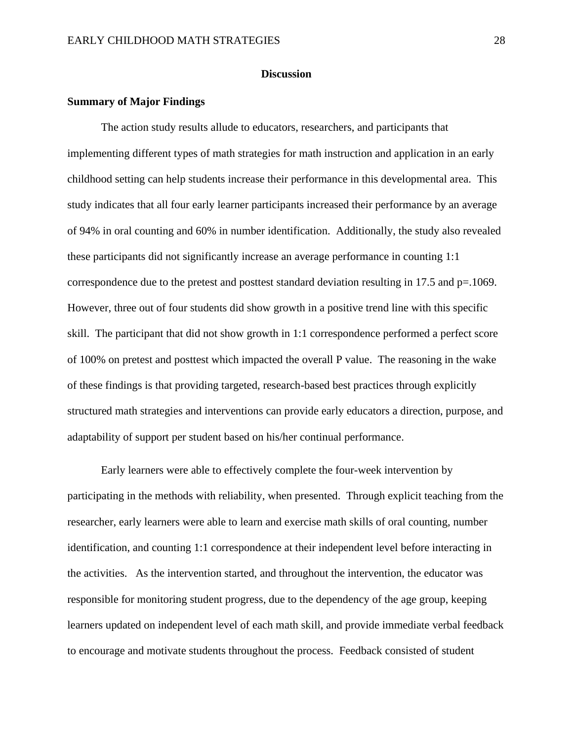#### **Discussion**

#### <span id="page-28-1"></span><span id="page-28-0"></span>**Summary of Major Findings**

The action study results allude to educators, researchers, and participants that implementing different types of math strategies for math instruction and application in an early childhood setting can help students increase their performance in this developmental area. This study indicates that all four early learner participants increased their performance by an average of 94% in oral counting and 60% in number identification. Additionally, the study also revealed these participants did not significantly increase an average performance in counting 1:1 correspondence due to the pretest and posttest standard deviation resulting in 17.5 and p=.1069. However, three out of four students did show growth in a positive trend line with this specific skill. The participant that did not show growth in 1:1 correspondence performed a perfect score of 100% on pretest and posttest which impacted the overall P value. The reasoning in the wake of these findings is that providing targeted, research-based best practices through explicitly structured math strategies and interventions can provide early educators a direction, purpose, and adaptability of support per student based on his/her continual performance.

Early learners were able to effectively complete the four-week intervention by participating in the methods with reliability, when presented. Through explicit teaching from the researcher, early learners were able to learn and exercise math skills of oral counting, number identification, and counting 1:1 correspondence at their independent level before interacting in the activities. As the intervention started, and throughout the intervention, the educator was responsible for monitoring student progress, due to the dependency of the age group, keeping learners updated on independent level of each math skill, and provide immediate verbal feedback to encourage and motivate students throughout the process. Feedback consisted of student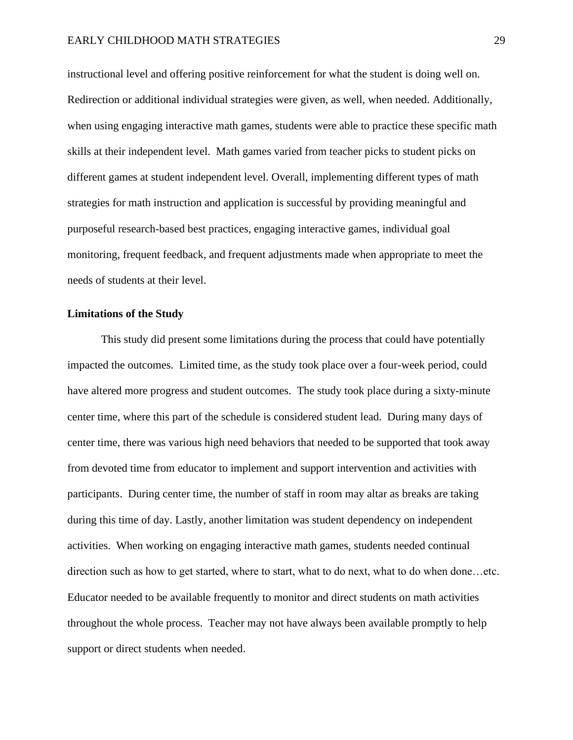instructional level and offering positive reinforcement for what the student is doing well on. Redirection or additional individual strategies were given, as well, when needed. Additionally, when using engaging interactive math games, students were able to practice these specific math skills at their independent level. Math games varied from teacher picks to student picks on different games at student independent level. Overall, implementing different types of math strategies for math instruction and application is successful by providing meaningful and purposeful research-based best practices, engaging interactive games, individual goal monitoring, frequent feedback, and frequent adjustments made when appropriate to meet the needs of students at their level.

#### <span id="page-29-0"></span>**Limitations of the Study**

This study did present some limitations during the process that could have potentially impacted the outcomes. Limited time, as the study took place over a four-week period, could have altered more progress and student outcomes. The study took place during a sixty-minute center time, where this part of the schedule is considered student lead. During many days of center time, there was various high need behaviors that needed to be supported that took away from devoted time from educator to implement and support intervention and activities with participants. During center time, the number of staff in room may altar as breaks are taking during this time of day. Lastly, another limitation was student dependency on independent activities. When working on engaging interactive math games, students needed continual direction such as how to get started, where to start, what to do next, what to do when done…etc. Educator needed to be available frequently to monitor and direct students on math activities throughout the whole process. Teacher may not have always been available promptly to help support or direct students when needed.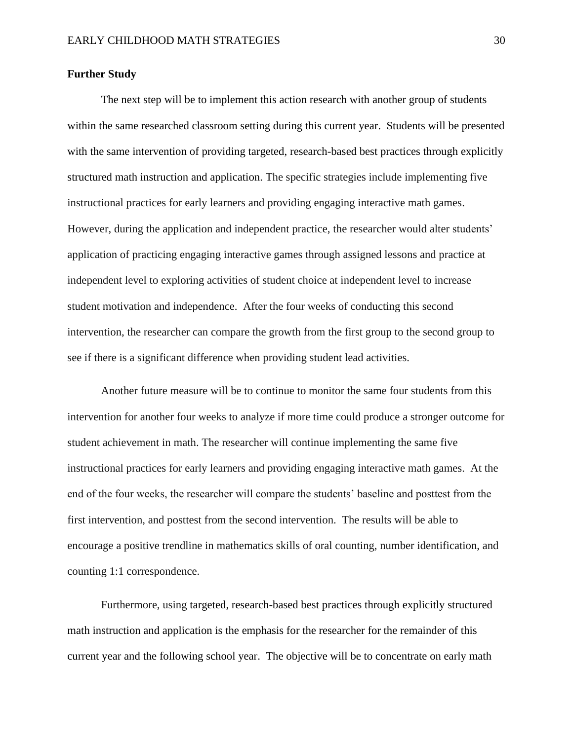#### <span id="page-30-0"></span>**Further Study**

The next step will be to implement this action research with another group of students within the same researched classroom setting during this current year. Students will be presented with the same intervention of providing targeted, research-based best practices through explicitly structured math instruction and application. The specific strategies include implementing five instructional practices for early learners and providing engaging interactive math games. However, during the application and independent practice, the researcher would alter students' application of practicing engaging interactive games through assigned lessons and practice at independent level to exploring activities of student choice at independent level to increase student motivation and independence. After the four weeks of conducting this second intervention, the researcher can compare the growth from the first group to the second group to see if there is a significant difference when providing student lead activities.

Another future measure will be to continue to monitor the same four students from this intervention for another four weeks to analyze if more time could produce a stronger outcome for student achievement in math. The researcher will continue implementing the same five instructional practices for early learners and providing engaging interactive math games. At the end of the four weeks, the researcher will compare the students' baseline and posttest from the first intervention, and posttest from the second intervention. The results will be able to encourage a positive trendline in mathematics skills of oral counting, number identification, and counting 1:1 correspondence.

Furthermore, using targeted, research-based best practices through explicitly structured math instruction and application is the emphasis for the researcher for the remainder of this current year and the following school year. The objective will be to concentrate on early math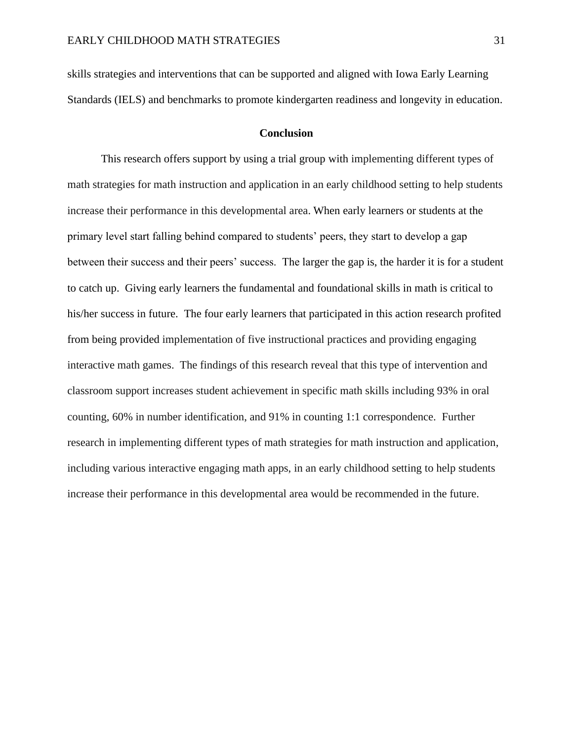skills strategies and interventions that can be supported and aligned with Iowa Early Learning Standards (IELS) and benchmarks to promote kindergarten readiness and longevity in education.

#### **Conclusion**

<span id="page-31-0"></span>This research offers support by using a trial group with implementing different types of math strategies for math instruction and application in an early childhood setting to help students increase their performance in this developmental area. When early learners or students at the primary level start falling behind compared to students' peers, they start to develop a gap between their success and their peers' success. The larger the gap is, the harder it is for a student to catch up. Giving early learners the fundamental and foundational skills in math is critical to his/her success in future. The four early learners that participated in this action research profited from being provided implementation of five instructional practices and providing engaging interactive math games. The findings of this research reveal that this type of intervention and classroom support increases student achievement in specific math skills including 93% in oral counting, 60% in number identification, and 91% in counting 1:1 correspondence. Further research in implementing different types of math strategies for math instruction and application, including various interactive engaging math apps, in an early childhood setting to help students increase their performance in this developmental area would be recommended in the future.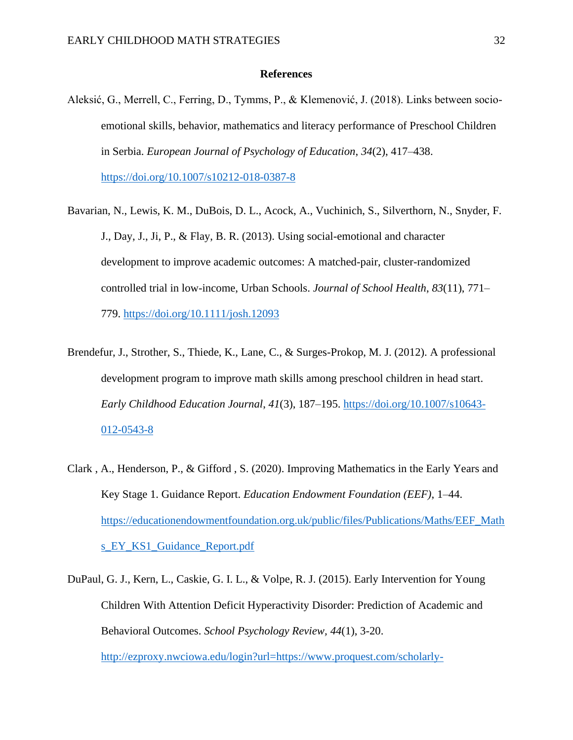#### **References**

<span id="page-32-0"></span>Aleksić, G., Merrell, C., Ferring, D., Tymms, P., & Klemenović, J. (2018). Links between socioemotional skills, behavior, mathematics and literacy performance of Preschool Children in Serbia. *European Journal of Psychology of Education*, *34*(2), 417–438. <https://doi.org/10.1007/s10212-018-0387-8>

- Bavarian, N., Lewis, K. M., DuBois, D. L., Acock, A., Vuchinich, S., Silverthorn, N., Snyder, F. J., Day, J., Ji, P., & Flay, B. R. (2013). Using social-emotional and character development to improve academic outcomes: A matched-pair, cluster-randomized controlled trial in low-income, Urban Schools. *Journal of School Health*, *83*(11), 771– 779.<https://doi.org/10.1111/josh.12093>
- Brendefur, J., Strother, S., Thiede, K., Lane, C., & Surges-Prokop, M. J. (2012). A professional development program to improve math skills among preschool children in head start. *Early Childhood Education Journal*, *41*(3), 187–195. [https://doi.org/10.1007/s10643-](https://doi.org/10.1007/s10643-012-0543-8) [012-0543-8](https://doi.org/10.1007/s10643-012-0543-8)
- Clark , A., Henderson, P., & Gifford , S. (2020). Improving Mathematics in the Early Years and Key Stage 1. Guidance Report. *Education Endowment Foundation (EEF)*, 1–44. [https://educationendowmentfoundation.org.uk/public/files/Publications/Maths/EEF\\_Math](https://educationendowmentfoundation.org.uk/public/files/Publications/Maths/EEF_Maths_EY_KS1_Guidance_Report.pdf) [s\\_EY\\_KS1\\_Guidance\\_Report.pdf](https://educationendowmentfoundation.org.uk/public/files/Publications/Maths/EEF_Maths_EY_KS1_Guidance_Report.pdf)
- DuPaul, G. J., Kern, L., Caskie, G. I. L., & Volpe, R. J. (2015). Early Intervention for Young Children With Attention Deficit Hyperactivity Disorder: Prediction of Academic and Behavioral Outcomes. *School Psychology Review, 44*(1), 3-20. [http://ezproxy.nwciowa.edu/login?url=https://www.proquest.com/scholarly-](http://ezproxy.nwciowa.edu/login?url=https://www.proquest.com/scholarly-journals/early-intervention-young-children-with-attention/docview/1685001292/se-2?accountid=28306)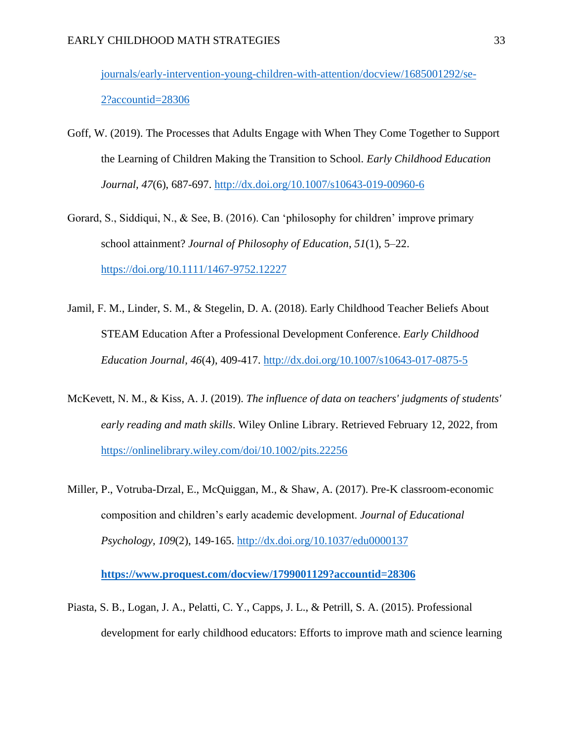[journals/early-intervention-young-children-with-attention/docview/1685001292/se-](http://ezproxy.nwciowa.edu/login?url=https://www.proquest.com/scholarly-journals/early-intervention-young-children-with-attention/docview/1685001292/se-2?accountid=28306)[2?accountid=28306](http://ezproxy.nwciowa.edu/login?url=https://www.proquest.com/scholarly-journals/early-intervention-young-children-with-attention/docview/1685001292/se-2?accountid=28306)

- Goff, W. (2019). The Processes that Adults Engage with When They Come Together to Support the Learning of Children Making the Transition to School. *Early Childhood Education Journal, 47*(6), 687-697.<http://dx.doi.org/10.1007/s10643-019-00960-6>
- Gorard, S., Siddiqui, N., & See, B. (2016). Can 'philosophy for children' improve primary school attainment? *Journal of Philosophy of Education*, *51*(1), 5–22. <https://doi.org/10.1111/1467-9752.12227>
- Jamil, F. M., Linder, S. M., & Stegelin, D. A. (2018). Early Childhood Teacher Beliefs About STEAM Education After a Professional Development Conference. *Early Childhood Education Journal, 46*(4), 409-417.<http://dx.doi.org/10.1007/s10643-017-0875-5>
- McKevett, N. M., & Kiss, A. J. (2019). *The influence of data on teachers' judgments of students' early reading and math skills*. Wiley Online Library. Retrieved February 12, 2022, from <https://onlinelibrary.wiley.com/doi/10.1002/pits.22256>
- Miller, P., Votruba-Drzal, E., McQuiggan, M., & Shaw, A. (2017). Pre-K classroom-economic composition and children's early academic development. *Journal of Educational Psychology, 109*(2), 149-165.<http://dx.doi.org/10.1037/edu0000137>

**<https://www.proquest.com/docview/1799001129?accountid=28306>**

Piasta, S. B., Logan, J. A., Pelatti, C. Y., Capps, J. L., & Petrill, S. A. (2015). Professional development for early childhood educators: Efforts to improve math and science learning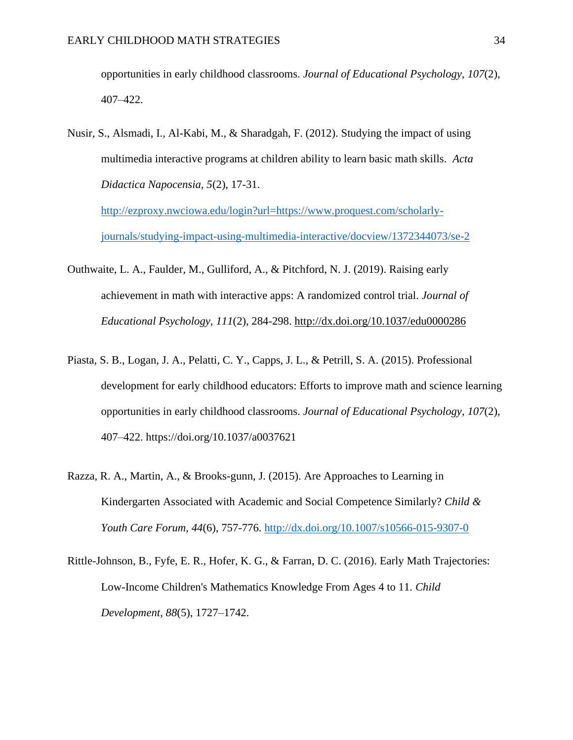opportunities in early childhood classrooms. *Journal of Educational Psychology*, *107*(2), 407–422.

Nusir, S., Alsmadi, I., Al-Kabi, M., & Sharadgah, F. (2012). Studying the impact of using multimedia interactive programs at children ability to learn basic math skills. *Acta Didactica Napocensia, 5*(2), 17-31.

[http://ezproxy.nwciowa.edu/login?url=https://www.proquest.com/scholarly](http://ezproxy.nwciowa.edu/login?url=https://www.proquest.com/scholarly-journals/studying-impact-using-multimedia-interactive/docview/1372344073/se-2)[journals/studying-impact-using-multimedia-interactive/docview/1372344073/se-2](http://ezproxy.nwciowa.edu/login?url=https://www.proquest.com/scholarly-journals/studying-impact-using-multimedia-interactive/docview/1372344073/se-2)

- Outhwaite, L. A., Faulder, M., Gulliford, A., & Pitchford, N. J. (2019). Raising early achievement in math with interactive apps: A randomized control trial. *Journal of Educational Psychology, 111*(2), 284-298.<http://dx.doi.org/10.1037/edu0000286>
- Piasta, S. B., Logan, J. A., Pelatti, C. Y., Capps, J. L., & Petrill, S. A. (2015). Professional development for early childhood educators: Efforts to improve math and science learning opportunities in early childhood classrooms. *Journal of Educational Psychology*, *107*(2), 407–422. https://doi.org/10.1037/a0037621
- Razza, R. A., Martin, A., & Brooks-gunn, J. (2015). Are Approaches to Learning in Kindergarten Associated with Academic and Social Competence Similarly? *Child & Youth Care Forum, 44*(6), 757-776.<http://dx.doi.org/10.1007/s10566-015-9307-0>
- Rittle-Johnson, B., Fyfe, E. R., Hofer, K. G., & Farran, D. C. (2016). Early Math Trajectories: Low-Income Children's Mathematics Knowledge From Ages 4 to 11. *Child Development*, *88*(5), 1727–1742.